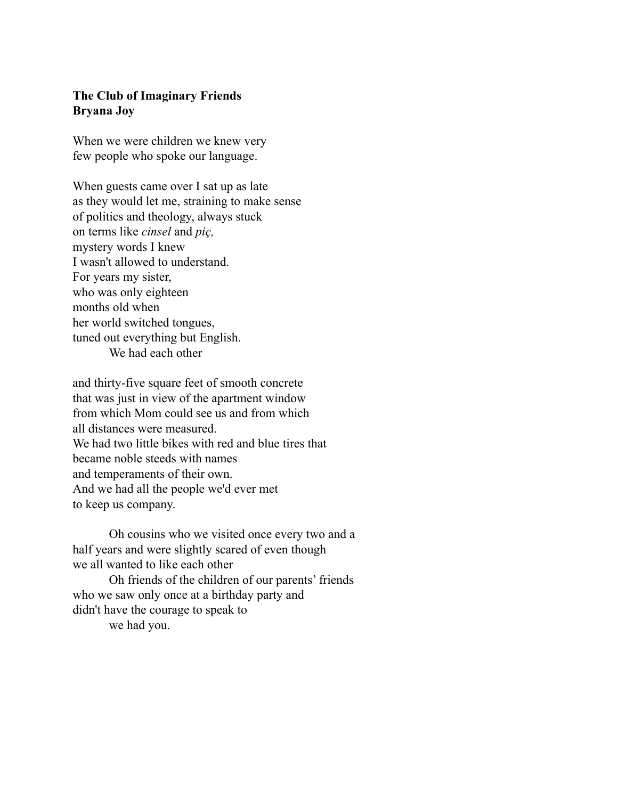## **The Club of Imaginary Friends Bryana Joy**

When we were children we knew very few people who spoke our language.

When guests came over I sat up as late as they would let me, straining to make sense of politics and theology, always stuck on terms like *cinsel* and *piç,* mystery words I knew I wasn't allowed to understand. For years my sister, who was only eighteen months old when her world switched tongues, tuned out everything but English. We had each other

and thirty-five square feet of smooth concrete that was just in view of the apartment window from which Mom could see us and from which all distances were measured. We had two little bikes with red and blue tires that became noble steeds with names and temperaments of their own. And we had all the people we'd ever met to keep us company.

 Oh cousins who we visited once every two and a half years and were slightly scared of even though we all wanted to like each other

 Oh friends of the children of our parents' friends who we saw only once at a birthday party and didn't have the courage to speak to we had you.